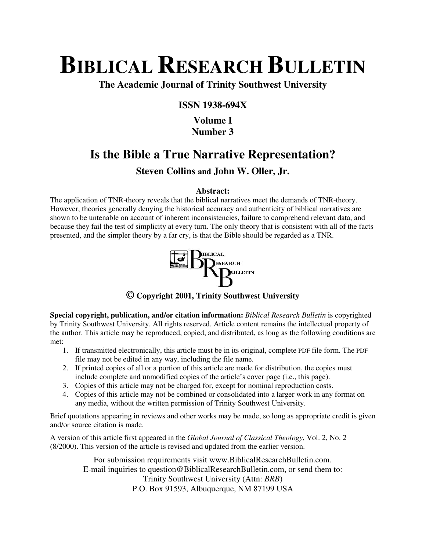# **BIBLICAL RESEARCH BULLETIN**

**The Academic Journal of Trinity Southwest University** 

### **ISSN 1938-694X**

## **Volume I Number 3**

# **Is the Bible a True Narrative Representation?**

# **Steven Collins and John W. Oller, Jr.**

#### **Abstract:**

The application of TNR-theory reveals that the biblical narratives meet the demands of TNR-theory. However, theories generally denying the historical accuracy and authenticity of biblical narratives are shown to be untenable on account of inherent inconsistencies, failure to comprehend relevant data, and because they fail the test of simplicity at every turn. The only theory that is consistent with all of the facts presented, and the simpler theory by a far cry, is that the Bible should be regarded as a TNR.



**© Copyright 2001, Trinity Southwest University** 

**Special copyright, publication, and/or citation information:** *Biblical Research Bulletin* is copyrighted by Trinity Southwest University. All rights reserved. Article content remains the intellectual property of the author. This article may be reproduced, copied, and distributed, as long as the following conditions are met:

- 1. If transmitted electronically, this article must be in its original, complete PDF file form. The PDF file may not be edited in any way, including the file name.
- 2. If printed copies of all or a portion of this article are made for distribution, the copies must include complete and unmodified copies of the article's cover page (i.e., this page).
- 3. Copies of this article may not be charged for, except for nominal reproduction costs.
- 4. Copies of this article may not be combined or consolidated into a larger work in any format on any media, without the written permission of Trinity Southwest University.

Brief quotations appearing in reviews and other works may be made, so long as appropriate credit is given and/or source citation is made.

A version of this article first appeared in the *Global Journal of Classical Theology*, Vol. 2, No. 2 (8/2000). This version of the article is revised and updated from the earlier version.

> For submission requirements visit www.BiblicalResearchBulletin.com. E-mail inquiries to question@BiblicalResearchBulletin.com, or send them to: Trinity Southwest University (Attn: *BRB*) P.O. Box 91593, Albuquerque, NM 87199 USA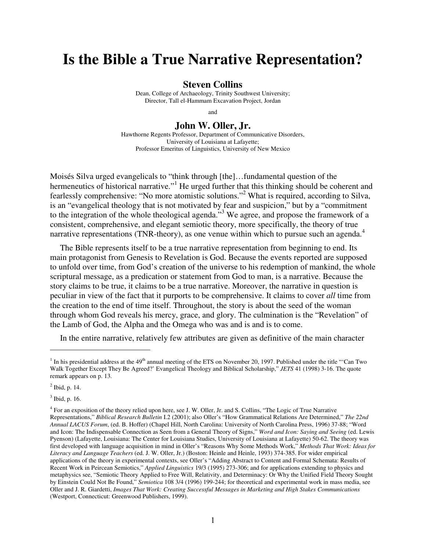# **Is the Bible a True Narrative Representation?**

#### **Steven Collins**

Dean, College of Archaeology, Trinity Southwest University; Director, Tall el-Hammam Excavation Project, Jordan

and

## **John W. Oller, Jr.**

Hawthorne Regents Professor, Department of Communicative Disorders, University of Louisiana at Lafayette; Professor Emeritus of Linguistics, University of New Mexico

Moisés Silva urged evangelicals to "think through [the]…fundamental question of the hermeneutics of historical narrative."<sup>1</sup> He urged further that this thinking should be coherent and fearlessly comprehensive: "No more atomistic solutions."<sup>2</sup> What is required, according to Silva, is an "evangelical theology that is not motivated by fear and suspicion," but by a "commitment to the integration of the whole theological agenda."<sup>3</sup> We agree, and propose the framework of a consistent, comprehensive, and elegant semiotic theory, more specifically, the theory of true narrative representations (TNR-theory), as one venue within which to pursue such an agenda.<sup>4</sup>

The Bible represents itself to be a true narrative representation from beginning to end. Its main protagonist from Genesis to Revelation is God. Because the events reported are supposed to unfold over time, from God's creation of the universe to his redemption of mankind, the whole scriptural message, as a predication or statement from God to man, is a narrative. Because the story claims to be true, it claims to be a true narrative. Moreover, the narrative in question is peculiar in view of the fact that it purports to be comprehensive. It claims to cover *all* time from the creation to the end of time itself. Throughout, the story is about the seed of the woman through whom God reveals his mercy, grace, and glory. The culmination is the "Revelation" of the Lamb of God, the Alpha and the Omega who was and is and is to come.

In the entire narrative, relatively few attributes are given as definitive of the main character

<sup>&</sup>lt;sup>1</sup> In his presidential address at the  $49<sup>th</sup>$  annual meeting of the ETS on November 20, 1997. Published under the title "Can Two Walk Together Except They Be Agreed?' Evangelical Theology and Biblical Scholarship," *JETS* 41 (1998) 3-16. The quote remark appears on p. 13.

 $<sup>2</sup>$  Ibid, p. 14.</sup>

<sup>3</sup> Ibid, p. 16.

<sup>4</sup> For an exposition of the theory relied upon here, see J. W. Oller, Jr. and S. Collins, "The Logic of True Narrative Representations," *Biblical Research Bulletin* I.2 (2001); also Oller's "How Grammatical Relations Are Determined," *The 22nd Annual LACUS Forum*, (ed. B. Hoffer) (Chapel Hill, North Carolina: University of North Carolina Press, 1996) 37-88; "Word and Icon: The Indispensable Connection as Seen from a General Theory of Signs," *Word and Icon: Saying and Seeing* (ed. Lewis Pyenson) (Lafayette, Louisiana: The Center for Louisiana Studies, University of Louisiana at Lafayette) 50-62. The theory was first developed with language acquisition in mind in Oller's "Reasons Why Some Methods Work," *Methods That Work: Ideas for Literacy and Language Teachers* (ed. J. W. Oller, Jr.) (Boston: Heinle and Heinle, 1993) 374-385. For wider empirical applications of the theory in experimental contexts, see Oller's "Adding Abstract to Content and Formal Schemata: Results of Recent Work in Peircean Semiotics," *Applied Linguistics* 19/3 (1995) 273-306; and for applications extending to physics and metaphysics see, "Semiotic Theory Applied to Free Will, Relativity, and Determinacy: Or Why the Unified Field Theory Sought by Einstein Could Not Be Found," *Semiotica* 108 3/4 (1996) 199-244; for theoretical and experimental work in mass media, see Oller and J. R. Giardetti, *Images That Work: Creating Successful Messages in Marketing and High Stakes Communications* (Westport, Connecticut: Greenwood Publishers, 1999).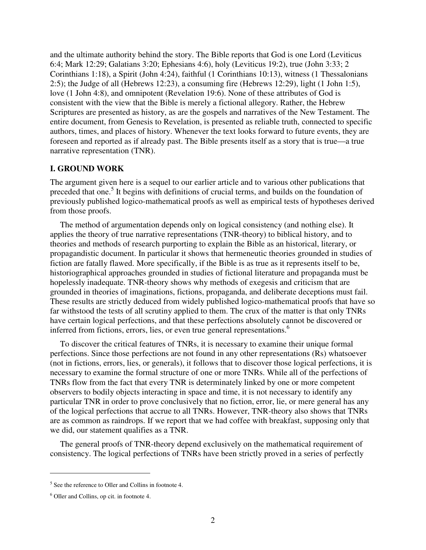and the ultimate authority behind the story. The Bible reports that God is one Lord (Leviticus 6:4; Mark 12:29; Galatians 3:20; Ephesians 4:6), holy (Leviticus 19:2), true (John 3:33; 2 Corinthians 1:18), a Spirit (John 4:24), faithful (1 Corinthians 10:13), witness (1 Thessalonians 2:5); the Judge of all (Hebrews 12:23), a consuming fire (Hebrews 12:29), light (1 John 1:5), love (1 John 4:8), and omnipotent (Revelation 19:6). None of these attributes of God is consistent with the view that the Bible is merely a fictional allegory. Rather, the Hebrew Scriptures are presented as history, as are the gospels and narratives of the New Testament. The entire document, from Genesis to Revelation, is presented as reliable truth, connected to specific authors, times, and places of history. Whenever the text looks forward to future events, they are foreseen and reported as if already past. The Bible presents itself as a story that is true—a true narrative representation (TNR).

#### **I. GROUND WORK**

The argument given here is a sequel to our earlier article and to various other publications that preceded that one.<sup>5</sup> It begins with definitions of crucial terms, and builds on the foundation of previously published logico-mathematical proofs as well as empirical tests of hypotheses derived from those proofs.

The method of argumentation depends only on logical consistency (and nothing else). It applies the theory of true narrative representations (TNR-theory) to biblical history, and to theories and methods of research purporting to explain the Bible as an historical, literary, or propagandistic document. In particular it shows that hermeneutic theories grounded in studies of fiction are fatally flawed. More specifically, if the Bible is as true as it represents itself to be, historiographical approaches grounded in studies of fictional literature and propaganda must be hopelessly inadequate. TNR-theory shows why methods of exegesis and criticism that are grounded in theories of imaginations, fictions, propaganda, and deliberate deceptions must fail. These results are strictly deduced from widely published logico-mathematical proofs that have so far withstood the tests of all scrutiny applied to them. The crux of the matter is that only TNRs have certain logical perfections, and that these perfections absolutely cannot be discovered or inferred from fictions, errors, lies, or even true general representations. 6

To discover the critical features of TNRs, it is necessary to examine their unique formal perfections. Since those perfections are not found in any other representations (Rs) whatsoever (not in fictions, errors, lies, or generals), it follows that to discover those logical perfections, it is necessary to examine the formal structure of one or more TNRs. While all of the perfections of TNRs flow from the fact that every TNR is determinately linked by one or more competent observers to bodily objects interacting in space and time, it is not necessary to identify any particular TNR in order to prove conclusively that no fiction, error, lie, or mere general has any of the logical perfections that accrue to all TNRs. However, TNR-theory also shows that TNRs are as common as raindrops. If we report that we had coffee with breakfast, supposing only that we did, our statement qualifies as a TNR.

The general proofs of TNR-theory depend exclusively on the mathematical requirement of consistency. The logical perfections of TNRs have been strictly proved in a series of perfectly

<sup>&</sup>lt;sup>5</sup> See the reference to Oller and Collins in footnote 4.

<sup>6</sup> Oller and Collins, op cit. in footnote 4.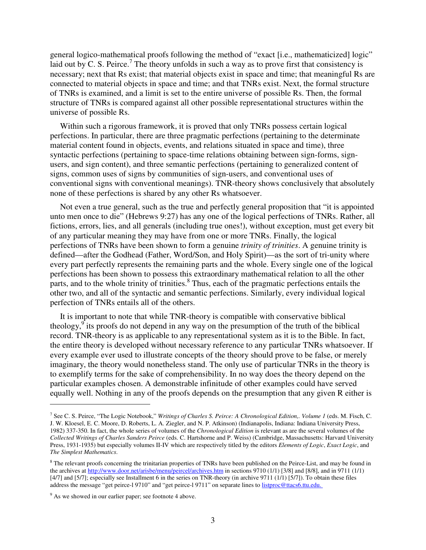general logico-mathematical proofs following the method of "exact [i.e., mathematicized] logic" laid out by C. S. Peirce.<sup>7</sup> The theory unfolds in such a way as to prove first that consistency is necessary; next that Rs exist; that material objects exist in space and time; that meaningful Rs are connected to material objects in space and time; and that TNRs exist. Next, the formal structure of TNRs is examined, and a limit is set to the entire universe of possible Rs. Then, the formal structure of TNRs is compared against all other possible representational structures within the universe of possible Rs.

Within such a rigorous framework, it is proved that only TNRs possess certain logical perfections. In particular, there are three pragmatic perfections (pertaining to the determinate material content found in objects, events, and relations situated in space and time), three syntactic perfections (pertaining to space-time relations obtaining between sign-forms, signusers, and sign content), and three semantic perfections (pertaining to generalized content of signs, common uses of signs by communities of sign-users, and conventional uses of conventional signs with conventional meanings). TNR-theory shows conclusively that absolutely none of these perfections is shared by any other Rs whatsoever.

Not even a true general, such as the true and perfectly general proposition that "it is appointed unto men once to die" (Hebrews 9:27) has any one of the logical perfections of TNRs. Rather, all fictions, errors, lies, and all generals (including true ones!), without exception, must get every bit of any particular meaning they may have from one or more TNRs. Finally, the logical perfections of TNRs have been shown to form a genuine *trinity of trinities*. A genuine trinity is defined—after the Godhead (Father, Word/Son, and Holy Spirit)—as the sort of tri-unity where every part perfectly represents the remaining parts and the whole. Every single one of the logical perfections has been shown to possess this extraordinary mathematical relation to all the other parts, and to the whole trinity of trinities.<sup>8</sup> Thus, each of the pragmatic perfections entails the other two, and all of the syntactic and semantic perfections. Similarly, every individual logical perfection of TNRs entails all of the others.

It is important to note that while TNR-theory is compatible with conservative biblical theology,  $\int$  its proofs do not depend in any way on the presumption of the truth of the biblical record. TNR-theory is as applicable to any representational system as it is to the Bible. In fact, the entire theory is developed without necessary reference to any particular TNRs whatsoever. If every example ever used to illustrate concepts of the theory should prove to be false, or merely imaginary, the theory would nonetheless stand. The only use of particular TNRs in the theory is to exemplify terms for the sake of comprehensibility. In no way does the theory depend on the particular examples chosen. A demonstrable infinitude of other examples could have served equally well. Nothing in any of the proofs depends on the presumption that any given R either is

<sup>7</sup> See C. S. Peirce, "The Logic Notebook," *Writings of Charles S. Peirce: A Chronological Edition,. Volume 1* (eds. M. Fisch, C. J. W. Kloesel, E. C. Moore, D. Roberts, L. A. Ziegler, and N. P. Atkinson) (Indianapolis, Indiana: Indiana University Press, 1982) 337-350. In fact, the whole series of volumes of the *Chronological Edition* is relevant as are the several volumes of the *Collected Writings of Charles Sanders Peirce* (eds. C. Hartshorne and P. Weiss) (Cambridge, Massachusetts: Harvard University Press, 1931-1935) but especially volumes II-IV which are respectively titled by the editors *Elements of Logic*, *Exact Logic*, and *The Simplest Mathematics*.

<sup>&</sup>lt;sup>8</sup> The relevant proofs concerning the trinitarian properties of TNRs have been published on the Peirce-List, and may be found in the archives at http://www.door.net/arisbe/menu/peircel/archives.htm in sections 9710 (1/1) [3/8] and [8/8], and in 9711 (1/1) [4/7] and [5/7]; especially see Installment 6 in the series on TNR-theory (in archive 9711 (1/1) [5/7]). To obtain these files address the message "get peirce-l 9710" and "get peirce-l 9711" on separate lines to listproc@ttacs6.ttu.edu.

<sup>&</sup>lt;sup>9</sup> As we showed in our earlier paper; see footnote 4 above.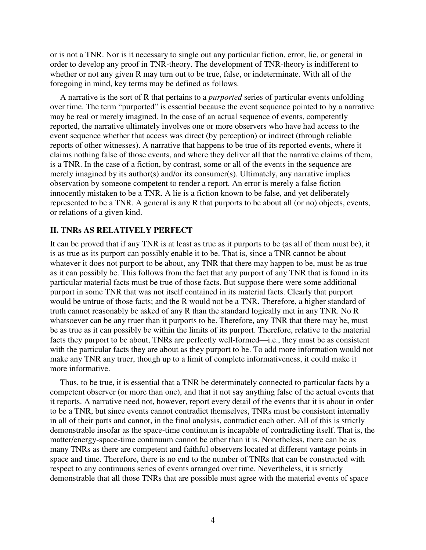or is not a TNR. Nor is it necessary to single out any particular fiction, error, lie, or general in order to develop any proof in TNR-theory. The development of TNR-theory is indifferent to whether or not any given R may turn out to be true, false, or indeterminate. With all of the foregoing in mind, key terms may be defined as follows.

A narrative is the sort of R that pertains to a *purported* series of particular events unfolding over time. The term "purported" is essential because the event sequence pointed to by a narrative may be real or merely imagined. In the case of an actual sequence of events, competently reported, the narrative ultimately involves one or more observers who have had access to the event sequence whether that access was direct (by perception) or indirect (through reliable reports of other witnesses). A narrative that happens to be true of its reported events, where it claims nothing false of those events, and where they deliver all that the narrative claims of them, is a TNR. In the case of a fiction, by contrast, some or all of the events in the sequence are merely imagined by its author(s) and/or its consumer(s). Ultimately, any narrative implies observation by someone competent to render a report. An error is merely a false fiction innocently mistaken to be a TNR. A lie is a fiction known to be false, and yet deliberately represented to be a TNR. A general is any R that purports to be about all (or no) objects, events, or relations of a given kind.

#### **II. TNRs AS RELATIVELY PERFECT**

It can be proved that if any TNR is at least as true as it purports to be (as all of them must be), it is as true as its purport can possibly enable it to be. That is, since a TNR cannot be about whatever it does not purport to be about, any TNR that there may happen to be, must be as true as it can possibly be. This follows from the fact that any purport of any TNR that is found in its particular material facts must be true of those facts. But suppose there were some additional purport in some TNR that was not itself contained in its material facts. Clearly that purport would be untrue of those facts; and the R would not be a TNR. Therefore, a higher standard of truth cannot reasonably be asked of any R than the standard logically met in any TNR. No R whatsoever can be any truer than it purports to be. Therefore, any TNR that there may be, must be as true as it can possibly be within the limits of its purport. Therefore, relative to the material facts they purport to be about, TNRs are perfectly well-formed—i.e., they must be as consistent with the particular facts they are about as they purport to be. To add more information would not make any TNR any truer, though up to a limit of complete informativeness, it could make it more informative.

Thus, to be true, it is essential that a TNR be determinately connected to particular facts by a competent observer (or more than one), and that it not say anything false of the actual events that it reports. A narrative need not, however, report every detail of the events that it is about in order to be a TNR, but since events cannot contradict themselves, TNRs must be consistent internally in all of their parts and cannot, in the final analysis, contradict each other. All of this is strictly demonstrable insofar as the space-time continuum is incapable of contradicting itself. That is, the matter/energy-space-time continuum cannot be other than it is. Nonetheless, there can be as many TNRs as there are competent and faithful observers located at different vantage points in space and time. Therefore, there is no end to the number of TNRs that can be constructed with respect to any continuous series of events arranged over time. Nevertheless, it is strictly demonstrable that all those TNRs that are possible must agree with the material events of space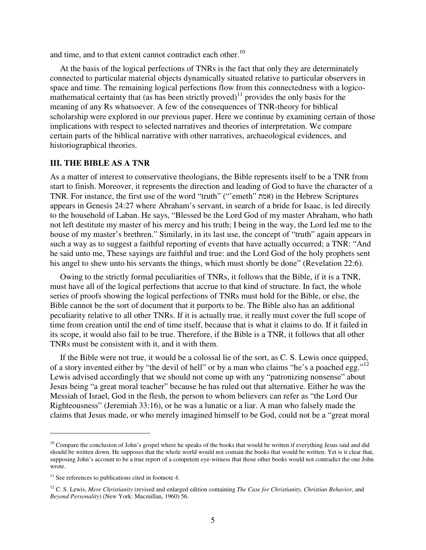and time, and to that extent cannot contradict each other.<sup>10</sup>

At the basis of the logical perfections of TNRs is the fact that only they are determinately connected to particular material objects dynamically situated relative to particular observers in space and time. The remaining logical perfections flow from this connectedness with a logicomathematical certainty that (as has been strictly proved)<sup>11</sup> provides the only basis for the meaning of any Rs whatsoever. A few of the consequences of TNR-theory for biblical scholarship were explored in our previous paper. Here we continue by examining certain of those implications with respect to selected narratives and theories of interpretation. We compare certain parts of the biblical narrative with other narratives, archaeological evidences, and historiographical theories.

#### **III. THE BIBLE AS A TNR**

As a matter of interest to conservative theologians, the Bible represents itself to be a TNR from start to finish. Moreover, it represents the direction and leading of God to have the character of a TNR. For instance, the first use of the word "truth" ("'emeth" אמת (in the Hebrew Scriptures appears in Genesis 24:27 where Abraham's servant, in search of a bride for Isaac, is led directly to the household of Laban. He says, "Blessed be the Lord God of my master Abraham, who hath not left destitute my master of his mercy and his truth; I being in the way, the Lord led me to the house of my master's brethren." Similarly, in its last use, the concept of "truth" again appears in such a way as to suggest a faithful reporting of events that have actually occurred; a TNR: "And he said unto me, These sayings are faithful and true: and the Lord God of the holy prophets sent his angel to shew unto his servants the things, which must shortly be done" (Revelation 22:6).

Owing to the strictly formal peculiarities of TNRs, it follows that the Bible, if it is a TNR, must have all of the logical perfections that accrue to that kind of structure. In fact, the whole series of proofs showing the logical perfections of TNRs must hold for the Bible, or else, the Bible cannot be the sort of document that it purports to be. The Bible also has an additional peculiarity relative to all other TNRs. If it is actually true, it really must cover the full scope of time from creation until the end of time itself, because that is what it claims to do. If it failed in its scope, it would also fail to be true. Therefore, if the Bible is a TNR, it follows that all other TNRs must be consistent with it, and it with them.

If the Bible were not true, it would be a colossal lie of the sort, as C. S. Lewis once quipped, of a story invented either by "the devil of hell" or by a man who claims "he's a poached egg."<sup>12</sup> Lewis advised accordingly that we should not come up with any "patronizing nonsense" about Jesus being "a great moral teacher" because he has ruled out that alternative. Either he was the Messiah of Israel, God in the flesh, the person to whom believers can refer as "the Lord Our Righteousness" (Jeremiah 33:16), or he was a lunatic or a liar. A man who falsely made the claims that Jesus made, or who merely imagined himself to be God, could not be a "great moral

<sup>&</sup>lt;sup>10</sup> Compare the conclusion of John's gospel where he speaks of the books that would be written if everything Jesus said and did should be written down. He supposes that the whole world would not contain the books that would be written. Yet is it clear that, supposing John's account to be a true report of a competent eye-witness that those other books would not contradict the one John wrote.

 $11$  See references to publications cited in footnote 4.

<sup>12</sup> C. S. Lewis, *Mere Christianity* (revised and enlarged edition containing *The Case for Christianity, Christian Behavior*, and *Beyond Personality*) (New York: Macmillan, 1960) 56.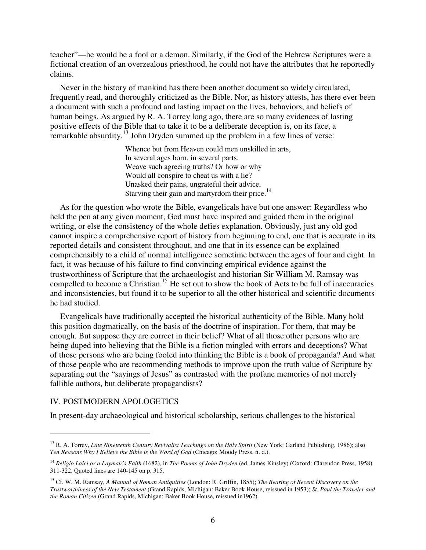teacher"—he would be a fool or a demon. Similarly, if the God of the Hebrew Scriptures were a fictional creation of an overzealous priesthood, he could not have the attributes that he reportedly claims.

Never in the history of mankind has there been another document so widely circulated, frequently read, and thoroughly criticized as the Bible. Nor, as history attests, has there ever been a document with such a profound and lasting impact on the lives, behaviors, and beliefs of human beings. As argued by R. A. Torrey long ago, there are so many evidences of lasting positive effects of the Bible that to take it to be a deliberate deception is, on its face, a remarkable absurdity.<sup>13</sup> John Dryden summed up the problem in a few lines of verse:

> Whence but from Heaven could men unskilled in arts, In several ages born, in several parts, Weave such agreeing truths? Or how or why Would all conspire to cheat us with a lie? Unasked their pains, ungrateful their advice, Starving their gain and martyrdom their price.<sup>14</sup>

As for the question who wrote the Bible, evangelicals have but one answer: Regardless who held the pen at any given moment, God must have inspired and guided them in the original writing, or else the consistency of the whole defies explanation. Obviously, just any old god cannot inspire a comprehensive report of history from beginning to end, one that is accurate in its reported details and consistent throughout, and one that in its essence can be explained comprehensibly to a child of normal intelligence sometime between the ages of four and eight. In fact, it was because of his failure to find convincing empirical evidence against the trustworthiness of Scripture that the archaeologist and historian Sir William M. Ramsay was compelled to become a Christian.<sup>15</sup> He set out to show the book of Acts to be full of inaccuracies and inconsistencies, but found it to be superior to all the other historical and scientific documents he had studied.

Evangelicals have traditionally accepted the historical authenticity of the Bible. Many hold this position dogmatically, on the basis of the doctrine of inspiration. For them, that may be enough. But suppose they are correct in their belief? What of all those other persons who are being duped into believing that the Bible is a fiction mingled with errors and deceptions? What of those persons who are being fooled into thinking the Bible is a book of propaganda? And what of those people who are recommending methods to improve upon the truth value of Scripture by separating out the "sayings of Jesus" as contrasted with the profane memories of not merely fallible authors, but deliberate propagandists?

#### IV. POSTMODERN APOLOGETICS

 $\overline{a}$ 

In present-day archaeological and historical scholarship, serious challenges to the historical

<sup>&</sup>lt;sup>13</sup> R. A. Torrey, *Late Nineteenth Century Revivalist Teachings on the Holy Spirit* (New York: Garland Publishing, 1986); also *Ten Reasons Why I Believe the Bible is the Word of God* (Chicago: Moody Press, n. d.).

<sup>14</sup> *Religio Laici or a Layman's Faith* (1682), in *The Poems of John Dryden* (ed. James Kinsley) (Oxford: Clarendon Press, 1958) 311-322. Quoted lines are 140-145 on p. 315.

<sup>15</sup> Cf. W. M. Ramsay, *A Manual of Roman Antiquities* (London: R. Griffin, 1855); *The Bearing of Recent Discovery on the Trustworthiness of the New Testament* (Grand Rapids, Michigan: Baker Book House, reissued in 1953); *St. Paul the Traveler and the Roman Citizen* (Grand Rapids, Michigan: Baker Book House, reissued in1962).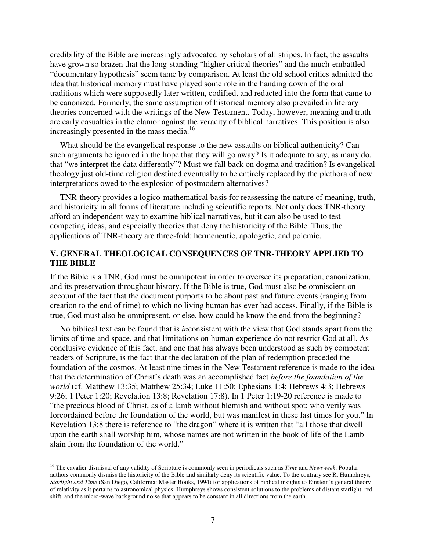credibility of the Bible are increasingly advocated by scholars of all stripes. In fact, the assaults have grown so brazen that the long-standing "higher critical theories" and the much-embattled "documentary hypothesis" seem tame by comparison. At least the old school critics admitted the idea that historical memory must have played some role in the handing down of the oral traditions which were supposedly later written, codified, and redacted into the form that came to be canonized. Formerly, the same assumption of historical memory also prevailed in literary theories concerned with the writings of the New Testament. Today, however, meaning and truth are early casualties in the clamor against the veracity of biblical narratives. This position is also increasingly presented in the mass media.<sup>16</sup>

What should be the evangelical response to the new assaults on biblical authenticity? Can such arguments be ignored in the hope that they will go away? Is it adequate to say, as many do, that "we interpret the data differently"? Must we fall back on dogma and tradition? Is evangelical theology just old-time religion destined eventually to be entirely replaced by the plethora of new interpretations owed to the explosion of postmodern alternatives?

TNR-theory provides a logico-mathematical basis for reassessing the nature of meaning, truth, and historicity in all forms of literature including scientific reports. Not only does TNR-theory afford an independent way to examine biblical narratives, but it can also be used to test competing ideas, and especially theories that deny the historicity of the Bible. Thus, the applications of TNR-theory are three-fold: hermeneutic, apologetic, and polemic.

#### **V. GENERAL THEOLOGICAL CONSEQUENCES OF TNR-THEORY APPLIED TO THE BIBLE**

If the Bible is a TNR, God must be omnipotent in order to oversee its preparation, canonization, and its preservation throughout history. If the Bible is true, God must also be omniscient on account of the fact that the document purports to be about past and future events (ranging from creation to the end of time) to which no living human has ever had access. Finally, if the Bible is true, God must also be omnipresent, or else, how could he know the end from the beginning?

No biblical text can be found that is *in*consistent with the view that God stands apart from the limits of time and space, and that limitations on human experience do not restrict God at all. As conclusive evidence of this fact, and one that has always been understood as such by competent readers of Scripture, is the fact that the declaration of the plan of redemption preceded the foundation of the cosmos. At least nine times in the New Testament reference is made to the idea that the determination of Christ's death was an accomplished fact *before the foundation of the world* (cf. Matthew 13:35; Matthew 25:34; Luke 11:50; Ephesians 1:4; Hebrews 4:3; Hebrews 9:26; 1 Peter 1:20; Revelation 13:8; Revelation 17:8). In 1 Peter 1:19-20 reference is made to "the precious blood of Christ, as of a lamb without blemish and without spot: who verily was foreordained before the foundation of the world, but was manifest in these last times for you." In Revelation 13:8 there is reference to "the dragon" where it is written that "all those that dwell upon the earth shall worship him, whose names are not written in the book of life of the Lamb slain from the foundation of the world."

<sup>16</sup> The cavalier dismissal of any validity of Scripture is commonly seen in periodicals such as *Time* and *Newsweek*. Popular authors commonly dismiss the historicity of the Bible and similarly deny its scientific value. To the contrary see R. Humphreys, *Starlight and Time* (San Diego, California: Master Books, 1994) for applications of biblical insights to Einstein's general theory of relativity as it pertains to astronomical physics. Humphreys shows consistent solutions to the problems of distant starlight, red shift, and the micro-wave background noise that appears to be constant in all directions from the earth.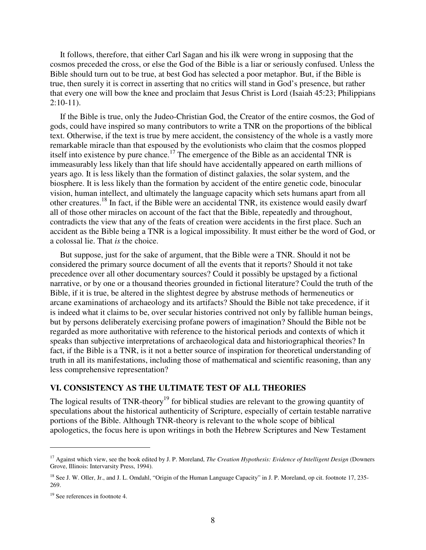It follows, therefore, that either Carl Sagan and his ilk were wrong in supposing that the cosmos preceded the cross, or else the God of the Bible is a liar or seriously confused. Unless the Bible should turn out to be true, at best God has selected a poor metaphor. But, if the Bible is true, then surely it is correct in asserting that no critics will stand in God's presence, but rather that every one will bow the knee and proclaim that Jesus Christ is Lord (Isaiah 45:23; Philippians  $2:10-11$ ).

If the Bible is true, only the Judeo-Christian God, the Creator of the entire cosmos, the God of gods, could have inspired so many contributors to write a TNR on the proportions of the biblical text. Otherwise, if the text is true by mere accident, the consistency of the whole is a vastly more remarkable miracle than that espoused by the evolutionists who claim that the cosmos plopped itself into existence by pure chance.<sup>17</sup> The emergence of the Bible as an accidental TNR is immeasurably less likely than that life should have accidentally appeared on earth millions of years ago. It is less likely than the formation of distinct galaxies, the solar system, and the biosphere. It is less likely than the formation by accident of the entire genetic code, binocular vision, human intellect, and ultimately the language capacity which sets humans apart from all other creatures.<sup>18</sup> In fact, if the Bible were an accidental TNR, its existence would easily dwarf all of those other miracles on account of the fact that the Bible, repeatedly and throughout, contradicts the view that any of the feats of creation were accidents in the first place. Such an accident as the Bible being a TNR is a logical impossibility. It must either be the word of God, or a colossal lie. That *is* the choice.

But suppose, just for the sake of argument, that the Bible were a TNR. Should it not be considered the primary source document of all the events that it reports? Should it not take precedence over all other documentary sources? Could it possibly be upstaged by a fictional narrative, or by one or a thousand theories grounded in fictional literature? Could the truth of the Bible, if it is true, be altered in the slightest degree by abstruse methods of hermeneutics or arcane examinations of archaeology and its artifacts? Should the Bible not take precedence, if it is indeed what it claims to be, over secular histories contrived not only by fallible human beings, but by persons deliberately exercising profane powers of imagination? Should the Bible not be regarded as more authoritative with reference to the historical periods and contexts of which it speaks than subjective interpretations of archaeological data and historiographical theories? In fact, if the Bible is a TNR, is it not a better source of inspiration for theoretical understanding of truth in all its manifestations, including those of mathematical and scientific reasoning, than any less comprehensive representation?

#### **VI. CONSISTENCY AS THE ULTIMATE TEST OF ALL THEORIES**

The logical results of TNR-theory<sup>19</sup> for biblical studies are relevant to the growing quantity of speculations about the historical authenticity of Scripture, especially of certain testable narrative portions of the Bible. Although TNR-theory is relevant to the whole scope of biblical apologetics, the focus here is upon writings in both the Hebrew Scriptures and New Testament

<sup>&</sup>lt;sup>17</sup> Against which view, see the book edited by J. P. Moreland, *The Creation Hypothesis: Evidence of Intelligent Design* (Downers Grove, Illinois: Intervarsity Press, 1994).

<sup>&</sup>lt;sup>18</sup> See J. W. Oller, Jr., and J. L. Omdahl, "Origin of the Human Language Capacity" in J. P. Moreland, op cit. footnote 17, 235-269.

<sup>&</sup>lt;sup>19</sup> See references in footnote 4.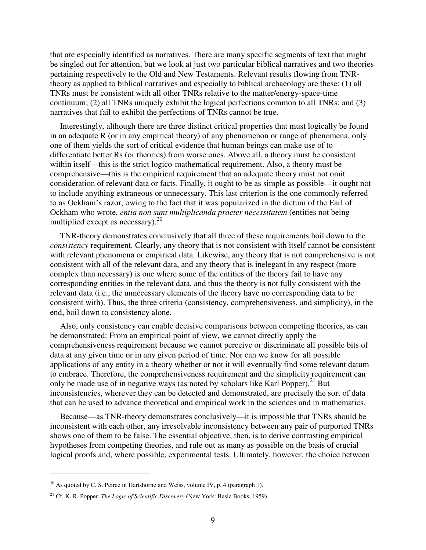that are especially identified as narratives. There are many specific segments of text that might be singled out for attention, but we look at just two particular biblical narratives and two theories pertaining respectively to the Old and New Testaments. Relevant results flowing from TNRtheory as applied to biblical narratives and especially to biblical archaeology are these: (1) all TNRs must be consistent with all other TNRs relative to the matter/energy-space-time continuum; (2) all TNRs uniquely exhibit the logical perfections common to all TNRs; and (3) narratives that fail to exhibit the perfections of TNRs cannot be true.

Interestingly, although there are three distinct critical properties that must logically be found in an adequate R (or in any empirical theory) of any phenomenon or range of phenomena, only one of them yields the sort of critical evidence that human beings can make use of to differentiate better Rs (or theories) from worse ones. Above all, a theory must be consistent within itself—this is the strict logico-mathematical requirement. Also, a theory must be comprehensive—this is the empirical requirement that an adequate theory must not omit consideration of relevant data or facts. Finally, it ought to be as simple as possible—it ought not to include anything extraneous or unnecessary. This last criterion is the one commonly referred to as Ockham's razor, owing to the fact that it was popularized in the dictum of the Earl of Ockham who wrote, *entia non sunt multiplicanda praeter necessitatem* (entities not being multiplied except as necessary). $^{20}$ 

TNR-theory demonstrates conclusively that all three of these requirements boil down to the *consistency* requirement. Clearly, any theory that is not consistent with itself cannot be consistent with relevant phenomena or empirical data. Likewise, any theory that is not comprehensive is not consistent with all of the relevant data, and any theory that is inelegant in any respect (more complex than necessary) is one where some of the entities of the theory fail to have any corresponding entities in the relevant data, and thus the theory is not fully consistent with the relevant data (i.e., the unnecessary elements of the theory have no corresponding data to be consistent with). Thus, the three criteria (consistency, comprehensiveness, and simplicity), in the end, boil down to consistency alone.

Also, only consistency can enable decisive comparisons between competing theories, as can be demonstrated: From an empirical point of view, we cannot directly apply the comprehensiveness requirement because we cannot perceive or discriminate all possible bits of data at any given time or in any given period of time. Nor can we know for all possible applications of any entity in a theory whether or not it will eventually find some relevant datum to embrace. Therefore, the comprehensiveness requirement and the simplicity requirement can only be made use of in negative ways (as noted by scholars like Karl Popper).<sup>21</sup> But inconsistencies, wherever they can be detected and demonstrated, are precisely the sort of data that can be used to advance theoretical and empirical work in the sciences and in mathematics.

Because—as TNR-theory demonstrates conclusively—it is impossible that TNRs should be inconsistent with each other, any irresolvable inconsistency between any pair of purported TNRs shows one of them to be false. The essential objective, then, is to derive contrasting empirical hypotheses from competing theories, and rule out as many as possible on the basis of crucial logical proofs and, where possible, experimental tests. Ultimately, however, the choice between

 $20$  As quoted by C. S. Peirce in Hartshorne and Weiss, volume IV, p. 4 (paragraph 1).

<sup>21</sup> Cf. K. R. Popper, *The Logic of Scientific Discovery* (New York: Basic Books, 1959).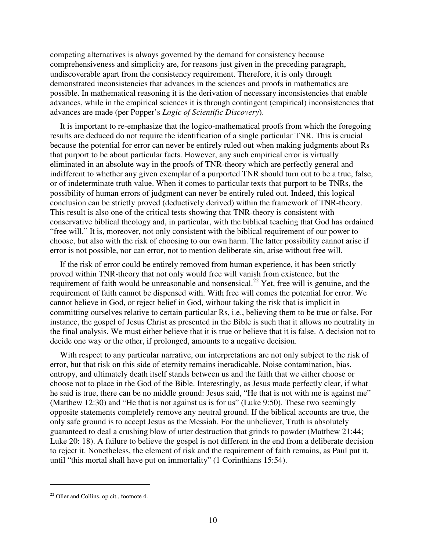competing alternatives is always governed by the demand for consistency because comprehensiveness and simplicity are, for reasons just given in the preceding paragraph, undiscoverable apart from the consistency requirement. Therefore, it is only through demonstrated inconsistencies that advances in the sciences and proofs in mathematics are possible. In mathematical reasoning it is the derivation of necessary inconsistencies that enable advances, while in the empirical sciences it is through contingent (empirical) inconsistencies that advances are made (per Popper's *Logic of Scientific Discovery*).

It is important to re-emphasize that the logico-mathematical proofs from which the foregoing results are deduced do not require the identification of a single particular TNR. This is crucial because the potential for error can never be entirely ruled out when making judgments about Rs that purport to be about particular facts. However, any such empirical error is virtually eliminated in an absolute way in the proofs of TNR-theory which are perfectly general and indifferent to whether any given exemplar of a purported TNR should turn out to be a true, false, or of indeterminate truth value. When it comes to particular texts that purport to be TNRs, the possibility of human errors of judgment can never be entirely ruled out. Indeed, this logical conclusion can be strictly proved (deductively derived) within the framework of TNR-theory. This result is also one of the critical tests showing that TNR-theory is consistent with conservative biblical theology and, in particular, with the biblical teaching that God has ordained "free will." It is, moreover, not only consistent with the biblical requirement of our power to choose, but also with the risk of choosing to our own harm. The latter possibility cannot arise if error is not possible, nor can error, not to mention deliberate sin, arise without free will.

If the risk of error could be entirely removed from human experience, it has been strictly proved within TNR-theory that not only would free will vanish from existence, but the requirement of faith would be unreasonable and nonsensical.<sup>22</sup> Yet, free will is genuine, and the requirement of faith cannot be dispensed with. With free will comes the potential for error. We cannot believe in God, or reject belief in God, without taking the risk that is implicit in committing ourselves relative to certain particular Rs, i.e., believing them to be true or false. For instance, the gospel of Jesus Christ as presented in the Bible is such that it allows no neutrality in the final analysis. We must either believe that it is true or believe that it is false. A decision not to decide one way or the other, if prolonged, amounts to a negative decision.

With respect to any particular narrative, our interpretations are not only subject to the risk of error, but that risk on this side of eternity remains ineradicable. Noise contamination, bias, entropy, and ultimately death itself stands between us and the faith that we either choose or choose not to place in the God of the Bible. Interestingly, as Jesus made perfectly clear, if what he said is true, there can be no middle ground: Jesus said, "He that is not with me is against me" (Matthew 12:30) and "He that is not against us is for us" (Luke 9:50). These two seemingly opposite statements completely remove any neutral ground. If the biblical accounts are true, the only safe ground is to accept Jesus as the Messiah. For the unbeliever, Truth is absolutely guaranteed to deal a crushing blow of utter destruction that grinds to powder (Matthew 21:44; Luke 20: 18). A failure to believe the gospel is not different in the end from a deliberate decision to reject it. Nonetheless, the element of risk and the requirement of faith remains, as Paul put it, until "this mortal shall have put on immortality" (1 Corinthians 15:54).

<sup>22</sup> Oller and Collins, op cit., footnote 4.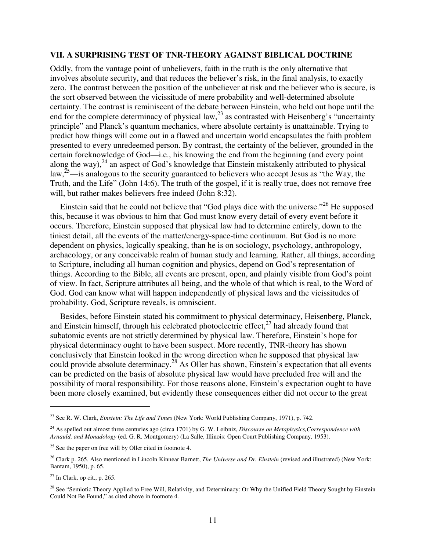#### **VII. A SURPRISING TEST OF TNR-THEORY AGAINST BIBLICAL DOCTRINE**

Oddly, from the vantage point of unbelievers, faith in the truth is the only alternative that involves absolute security, and that reduces the believer's risk, in the final analysis, to exactly zero. The contrast between the position of the unbeliever at risk and the believer who is secure, is the sort observed between the vicissitude of mere probability and well-determined absolute certainty. The contrast is reminiscent of the debate between Einstein, who held out hope until the end for the complete determinacy of physical law,  $^{23}$  as contrasted with Heisenberg's "uncertainty" principle" and Planck's quantum mechanics, where absolute certainty is unattainable. Trying to predict how things will come out in a flawed and uncertain world encapsulates the faith problem presented to every unredeemed person. By contrast, the certainty of the believer, grounded in the certain foreknowledge of God—i.e., his knowing the end from the beginning (and every point along the way), $^{24}$  an aspect of God's knowledge that Einstein mistakenly attributed to physical law,  $25$ —is analogous to the security guaranteed to believers who accept Jesus as "the Way, the Truth, and the Life" (John 14:6). The truth of the gospel, if it is really true, does not remove free will, but rather makes believers free indeed (John 8:32).

Einstein said that he could not believe that "God plays dice with the universe."<sup>26</sup> He supposed this, because it was obvious to him that God must know every detail of every event before it occurs. Therefore, Einstein supposed that physical law had to determine entirely, down to the tiniest detail, all the events of the matter/energy-space-time continuum. But God is no more dependent on physics, logically speaking, than he is on sociology, psychology, anthropology, archaeology, or any conceivable realm of human study and learning. Rather, all things, according to Scripture, including all human cognition and physics, depend on God's representation of things. According to the Bible, all events are present, open, and plainly visible from God's point of view. In fact, Scripture attributes all being, and the whole of that which is real, to the Word of God. God can know what will happen independently of physical laws and the vicissitudes of probability. God, Scripture reveals, is omniscient.

Besides, before Einstein stated his commitment to physical determinacy, Heisenberg, Planck, and Einstein himself, through his celebrated photoelectric effect, $27$  had already found that subatomic events are not strictly determined by physical law. Therefore, Einstein's hope for physical determinacy ought to have been suspect. More recently, TNR-theory has shown conclusively that Einstein looked in the wrong direction when he supposed that physical law could provide absolute determinacy.<sup>28</sup> As Oller has shown, Einstein's expectation that all events can be predicted on the basis of absolute physical law would have precluded free will and the possibility of moral responsibility. For those reasons alone, Einstein's expectation ought to have been more closely examined, but evidently these consequences either did not occur to the great

<sup>23</sup> See R. W. Clark, *Einstein: The Life and Times* (New York: World Publishing Company, 1971), p. 742.

<sup>24</sup> As spelled out almost three centuries ago (circa 1701) by G. W. Leibniz, *Discourse on Metaphysics,Correspondence with Arnauld, and Monadology* (ed. G. R. Montgomery) (La Salle, Illinois: Open Court Publishing Company, 1953).

<sup>&</sup>lt;sup>25</sup> See the paper on free will by Oller cited in footnote 4.

<sup>26</sup> Clark p. 265. Also mentioned in Lincoln Kinnear Barnett, *The Universe and Dr. Einstein* (revised and illustrated) (New York: Bantam, 1950), p. 65.

 $27$  In Clark, op cit., p. 265.

<sup>&</sup>lt;sup>28</sup> See "Semiotic Theory Applied to Free Will, Relativity, and Determinacy: Or Why the Unified Field Theory Sought by Einstein Could Not Be Found," as cited above in footnote 4.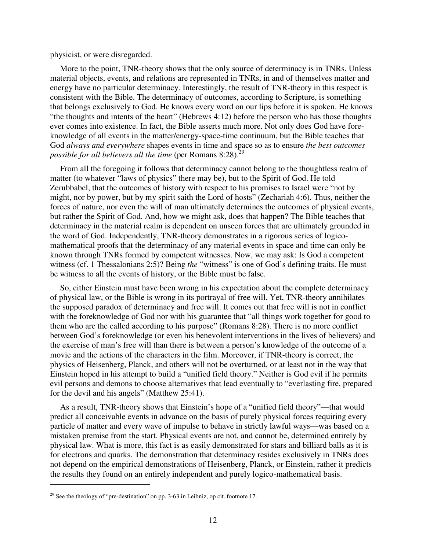physicist, or were disregarded.

More to the point, TNR-theory shows that the only source of determinacy is in TNRs. Unless material objects, events, and relations are represented in TNRs, in and of themselves matter and energy have no particular determinacy. Interestingly, the result of TNR-theory in this respect is consistent with the Bible. The determinacy of outcomes, according to Scripture, is something that belongs exclusively to God. He knows every word on our lips before it is spoken. He knows "the thoughts and intents of the heart" (Hebrews 4:12) before the person who has those thoughts ever comes into existence. In fact, the Bible asserts much more. Not only does God have foreknowledge of all events in the matter/energy-space-time continuum, but the Bible teaches that God *always and everywhere* shapes events in time and space so as to ensure *the best outcomes possible for all believers all the time (per Romans 8:28).*<sup>29</sup>

From all the foregoing it follows that determinacy cannot belong to the thoughtless realm of matter (to whatever "laws of physics" there may be), but to the Spirit of God. He told Zerubbabel, that the outcomes of history with respect to his promises to Israel were "not by might, nor by power, but by my spirit saith the Lord of hosts" (Zechariah 4:6). Thus, neither the forces of nature, nor even the will of man ultimately determines the outcomes of physical events, but rather the Spirit of God. And, how we might ask, does that happen? The Bible teaches that determinacy in the material realm is dependent on unseen forces that are ultimately grounded in the word of God. Independently, TNR-theory demonstrates in a rigorous series of logicomathematical proofs that the determinacy of any material events in space and time can only be known through TNRs formed by competent witnesses. Now, we may ask: Is God a competent witness (cf. 1 Thessalonians 2:5)? Being *the* "witness" is one of God's defining traits. He must be witness to all the events of history, or the Bible must be false.

So, either Einstein must have been wrong in his expectation about the complete determinacy of physical law, or the Bible is wrong in its portrayal of free will. Yet, TNR-theory annihilates the supposed paradox of determinacy and free will. It comes out that free will is not in conflict with the foreknowledge of God nor with his guarantee that "all things work together for good to them who are the called according to his purpose" (Romans 8:28). There is no more conflict between God's foreknowledge (or even his benevolent interventions in the lives of believers) and the exercise of man's free will than there is between a person's knowledge of the outcome of a movie and the actions of the characters in the film. Moreover, if TNR-theory is correct, the physics of Heisenberg, Planck, and others will not be overturned, or at least not in the way that Einstein hoped in his attempt to build a "unified field theory." Neither is God evil if he permits evil persons and demons to choose alternatives that lead eventually to "everlasting fire, prepared for the devil and his angels" (Matthew 25:41).

As a result, TNR-theory shows that Einstein's hope of a "unified field theory"—that would predict all conceivable events in advance on the basis of purely physical forces requiring every particle of matter and every wave of impulse to behave in strictly lawful ways—was based on a mistaken premise from the start. Physical events are not, and cannot be, determined entirely by physical law. What is more, this fact is as easily demonstrated for stars and billiard balls as it is for electrons and quarks. The demonstration that determinacy resides exclusively in TNRs does not depend on the empirical demonstrations of Heisenberg, Planck, or Einstein, rather it predicts the results they found on an entirely independent and purely logico-mathematical basis.

 $29$  See the theology of "pre-destination" on pp. 3-63 in Leibniz, op cit. footnote 17.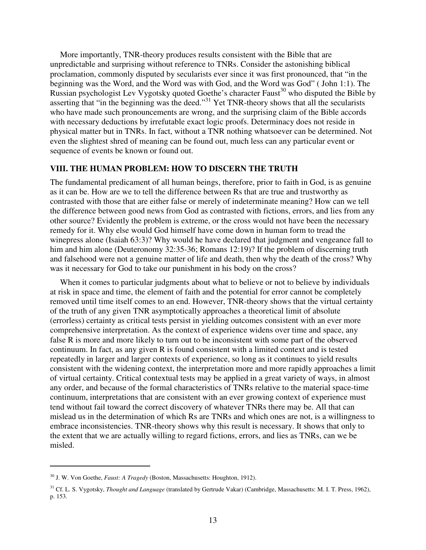More importantly, TNR-theory produces results consistent with the Bible that are unpredictable and surprising without reference to TNRs. Consider the astonishing biblical proclamation, commonly disputed by secularists ever since it was first pronounced, that "in the beginning was the Word, and the Word was with God, and the Word was God" ( John 1:1). The Russian psychologist Lev Vygotsky quoted Goethe's character Faust<sup>30</sup> who disputed the Bible by asserting that "in the beginning was the deed."<sup>31</sup> Yet TNR-theory shows that all the secularists who have made such pronouncements are wrong, and the surprising claim of the Bible accords with necessary deductions by irrefutable exact logic proofs. Determinacy does not reside in physical matter but in TNRs. In fact, without a TNR nothing whatsoever can be determined. Not even the slightest shred of meaning can be found out, much less can any particular event or sequence of events be known or found out.

#### **VIII. THE HUMAN PROBLEM: HOW TO DISCERN THE TRUTH**

The fundamental predicament of all human beings, therefore, prior to faith in God, is as genuine as it can be. How are we to tell the difference between Rs that are true and trustworthy as contrasted with those that are either false or merely of indeterminate meaning? How can we tell the difference between good news from God as contrasted with fictions, errors, and lies from any other source? Evidently the problem is extreme, or the cross would not have been the necessary remedy for it. Why else would God himself have come down in human form to tread the winepress alone (Isaiah 63:3)? Why would he have declared that judgment and vengeance fall to him and him alone (Deuteronomy 32:35-36; Romans 12:19)? If the problem of discerning truth and falsehood were not a genuine matter of life and death, then why the death of the cross? Why was it necessary for God to take our punishment in his body on the cross?

When it comes to particular judgments about what to believe or not to believe by individuals at risk in space and time, the element of faith and the potential for error cannot be completely removed until time itself comes to an end. However, TNR-theory shows that the virtual certainty of the truth of any given TNR asymptotically approaches a theoretical limit of absolute (errorless) certainty as critical tests persist in yielding outcomes consistent with an ever more comprehensive interpretation. As the context of experience widens over time and space, any false R is more and more likely to turn out to be inconsistent with some part of the observed continuum. In fact, as any given R is found consistent with a limited context and is tested repeatedly in larger and larger contexts of experience, so long as it continues to yield results consistent with the widening context, the interpretation more and more rapidly approaches a limit of virtual certainty. Critical contextual tests may be applied in a great variety of ways, in almost any order, and because of the formal characteristics of TNRs relative to the material space-time continuum, interpretations that are consistent with an ever growing context of experience must tend without fail toward the correct discovery of whatever TNRs there may be. All that can mislead us in the determination of which Rs are TNRs and which ones are not, is a willingness to embrace inconsistencies. TNR-theory shows why this result is necessary. It shows that only to the extent that we are actually willing to regard fictions, errors, and lies as TNRs, can we be misled.

<sup>30</sup> J. W. Von Goethe, *Faust: A Tragedy* (Boston, Massachusetts: Houghton, 1912).

<sup>31</sup> Cf. L. S. Vygotsky, *Thought and Language* (translated by Gertrude Vakar) (Cambridge, Massachusetts: M. I. T. Press, 1962), p. 153.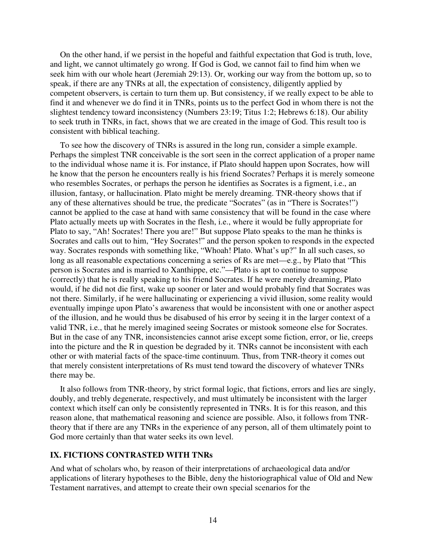On the other hand, if we persist in the hopeful and faithful expectation that God is truth, love, and light, we cannot ultimately go wrong. If God is God, we cannot fail to find him when we seek him with our whole heart (Jeremiah 29:13). Or, working our way from the bottom up, so to speak, if there are any TNRs at all, the expectation of consistency, diligently applied by competent observers, is certain to turn them up. But consistency, if we really expect to be able to find it and whenever we do find it in TNRs, points us to the perfect God in whom there is not the slightest tendency toward inconsistency (Numbers 23:19; Titus 1:2; Hebrews 6:18). Our ability to seek truth in TNRs, in fact, shows that we are created in the image of God. This result too is consistent with biblical teaching.

To see how the discovery of TNRs is assured in the long run, consider a simple example. Perhaps the simplest TNR conceivable is the sort seen in the correct application of a proper name to the individual whose name it is. For instance, if Plato should happen upon Socrates, how will he know that the person he encounters really is his friend Socrates? Perhaps it is merely someone who resembles Socrates, or perhaps the person he identifies as Socrates is a figment, i.e., an illusion, fantasy, or hallucination. Plato might be merely dreaming. TNR-theory shows that if any of these alternatives should be true, the predicate "Socrates" (as in "There is Socrates!") cannot be applied to the case at hand with same consistency that will be found in the case where Plato actually meets up with Socrates in the flesh, i.e., where it would be fully appropriate for Plato to say, "Ah! Socrates! There you are!" But suppose Plato speaks to the man he thinks is Socrates and calls out to him, "Hey Socrates!" and the person spoken to responds in the expected way. Socrates responds with something like, "Whoah! Plato. What's up?" In all such cases, so long as all reasonable expectations concerning a series of Rs are met—e.g., by Plato that "This person is Socrates and is married to Xanthippe, etc."—Plato is apt to continue to suppose (correctly) that he is really speaking to his friend Socrates. If he were merely dreaming, Plato would, if he did not die first, wake up sooner or later and would probably find that Socrates was not there. Similarly, if he were hallucinating or experiencing a vivid illusion, some reality would eventually impinge upon Plato's awareness that would be inconsistent with one or another aspect of the illusion, and he would thus be disabused of his error by seeing it in the larger context of a valid TNR, i.e., that he merely imagined seeing Socrates or mistook someone else for Socrates. But in the case of any TNR, inconsistencies cannot arise except some fiction, error, or lie, creeps into the picture and the R in question be degraded by it. TNRs cannot be inconsistent with each other or with material facts of the space-time continuum. Thus, from TNR-theory it comes out that merely consistent interpretations of Rs must tend toward the discovery of whatever TNRs there may be.

It also follows from TNR-theory, by strict formal logic, that fictions, errors and lies are singly, doubly, and trebly degenerate, respectively, and must ultimately be inconsistent with the larger context which itself can only be consistently represented in TNRs. It is for this reason, and this reason alone, that mathematical reasoning and science are possible. Also, it follows from TNRtheory that if there are any TNRs in the experience of any person, all of them ultimately point to God more certainly than that water seeks its own level.

#### **IX. FICTIONS CONTRASTED WITH TNRs**

And what of scholars who, by reason of their interpretations of archaeological data and/or applications of literary hypotheses to the Bible, deny the historiographical value of Old and New Testament narratives, and attempt to create their own special scenarios for the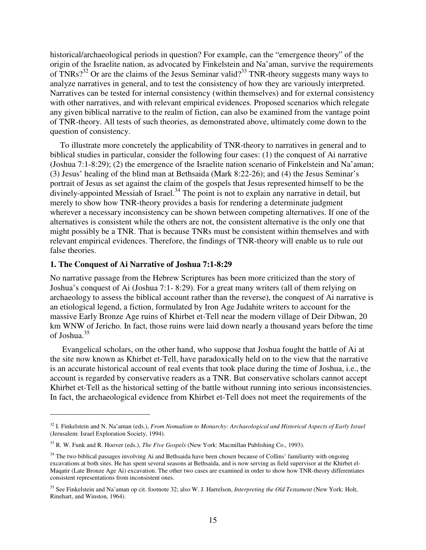historical/archaeological periods in question? For example, can the "emergence theory" of the origin of the Israelite nation, as advocated by Finkelstein and Na'aman, survive the requirements of TNRs? $3^{32}$  Or are the claims of the Jesus Seminar valid? $3^{33}$  TNR-theory suggests many ways to analyze narratives in general, and to test the consistency of how they are variously interpreted. Narratives can be tested for internal consistency (within themselves) and for external consistency with other narratives, and with relevant empirical evidences. Proposed scenarios which relegate any given biblical narrative to the realm of fiction, can also be examined from the vantage point of TNR-theory. All tests of such theories, as demonstrated above, ultimately come down to the question of consistency.

To illustrate more concretely the applicability of TNR-theory to narratives in general and to biblical studies in particular, consider the following four cases: (1) the conquest of Ai narrative (Joshua 7:1-8:29); (2) the emergence of the Israelite nation scenario of Finkelstein and Na'aman; (3) Jesus' healing of the blind man at Bethsaida (Mark 8:22-26); and (4) the Jesus Seminar's portrait of Jesus as set against the claim of the gospels that Jesus represented himself to be the  $\frac{1}{2}$  divinely-appointed Messiah of Israel.<sup>34</sup> The point is not to explain any narrative in detail, but merely to show how TNR-theory provides a basis for rendering a determinate judgment wherever a necessary inconsistency can be shown between competing alternatives. If one of the alternatives is consistent while the others are not, the consistent alternative is the only one that might possibly be a TNR. That is because TNRs must be consistent within themselves and with relevant empirical evidences. Therefore, the findings of TNR-theory will enable us to rule out false theories.

#### **1. The Conquest of Ai Narrative of Joshua 7:1-8:29**

 $\overline{a}$ 

No narrative passage from the Hebrew Scriptures has been more criticized than the story of Joshua's conquest of Ai (Joshua 7:1- 8:29). For a great many writers (all of them relying on archaeology to assess the biblical account rather than the reverse), the conquest of Ai narrative is an etiological legend, a fiction, formulated by Iron Age Judahite writers to account for the massive Early Bronze Age ruins of Khirbet et-Tell near the modern village of Deir Dibwan, 20 km WNW of Jericho. In fact, those ruins were laid down nearly a thousand years before the time of Joshua.<sup>35</sup>

 Evangelical scholars, on the other hand, who suppose that Joshua fought the battle of Ai at the site now known as Khirbet et-Tell, have paradoxically held on to the view that the narrative is an accurate historical account of real events that took place during the time of Joshua, i.e., the account is regarded by conservative readers as a TNR. But conservative scholars cannot accept Khirbet et-Tell as the historical setting of the battle without running into serious inconsistencies. In fact, the archaeological evidence from Khirbet et-Tell does not meet the requirements of the

<sup>32</sup> I. Finkelstein and N. Na'aman (eds.), *From Nomadism to Monarchy: Archaeological and Historical Aspects of Early Israel* (Jerusalem: Israel Exploration Society, 1994).

<sup>33</sup> R. W. Funk and R. Hoover (eds.), *The Five Gospels* (New York: Macmillan Publishing Co., 1993).

<sup>&</sup>lt;sup>34</sup> The two biblical passages involving Ai and Bethsaida have been chosen because of Collins' familiarity with ongoing excavations at both sites. He has spent several seasons at Bethsaida, and is now serving as field supervisor at the Khirbet el-Maqatir (Late Bronze Age Ai) excavation. The other two cases are examined in order to show how TNR-theory differentiates consistent representations from inconsistent ones.

<sup>35</sup> See Finkelstein and Na'aman op cit. footnote 32; also W. J. Harrelson, *Interpreting the Old Testament* (New York: Holt, Rinehart, and Winston, 1964).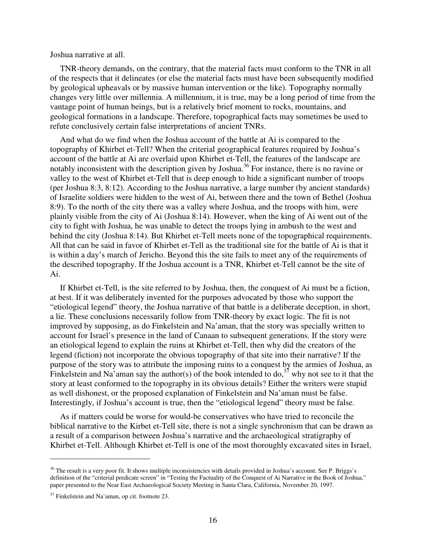Joshua narrative at all.

TNR-theory demands, on the contrary, that the material facts must conform to the TNR in all of the respects that it delineates (or else the material facts must have been subsequently modified by geological upheavals or by massive human intervention or the like). Topography normally changes very little over millennia. A millennium, it is true, may be a long period of time from the vantage point of human beings, but is a relatively brief moment to rocks, mountains, and geological formations in a landscape. Therefore, topographical facts may sometimes be used to refute conclusively certain false interpretations of ancient TNRs.

And what do we find when the Joshua account of the battle at Ai is compared to the topography of Khirbet et-Tell? When the criterial geographical features required by Joshua's account of the battle at Ai are overlaid upon Khirbet et-Tell, the features of the landscape are notably inconsistent with the description given by Joshua.<sup>36</sup> For instance, there is no ravine or valley to the west of Khirbet et-Tell that is deep enough to hide a significant number of troops (per Joshua 8:3, 8:12). According to the Joshua narrative, a large number (by ancient standards) of Israelite soldiers were hidden to the west of Ai, between there and the town of Bethel (Joshua 8:9). To the north of the city there was a valley where Joshua, and the troops with him, were plainly visible from the city of Ai (Joshua 8:14). However, when the king of Ai went out of the city to fight with Joshua, he was unable to detect the troops lying in ambush to the west and behind the city (Joshua 8:14). But Khirbet et-Tell meets none of the topographical requirements. All that can be said in favor of Khirbet et-Tell as the traditional site for the battle of Ai is that it is within a day's march of Jericho. Beyond this the site fails to meet any of the requirements of the described topography. If the Joshua account is a TNR, Khirbet et-Tell cannot be the site of Ai.

If Khirbet et-Tell, is the site referred to by Joshua, then, the conquest of Ai must be a fiction, at best. If it was deliberately invented for the purposes advocated by those who support the "etiological legend" theory, the Joshua narrative of that battle is a deliberate deception, in short, a lie. These conclusions necessarily follow from TNR-theory by exact logic. The fit is not improved by supposing, as do Finkelstein and Na'aman, that the story was specially written to account for Israel's presence in the land of Canaan to subsequent generations. If the story were an etiological legend to explain the ruins at Khirbet et-Tell, then why did the creators of the legend (fiction) not incorporate the obvious topography of that site into their narrative? If the purpose of the story was to attribute the imposing ruins to a conquest by the armies of Joshua, as Finkelstein and Na'aman say the author(s) of the book intended to do,<sup>37</sup> why not see to it that the story at least conformed to the topography in its obvious details? Either the writers were stupid as well dishonest, or the proposed explanation of Finkelstein and Na'aman must be false. Interestingly, if Joshua's account is true, then the "etiological legend" theory must be false.

As if matters could be worse for would-be conservatives who have tried to reconcile the biblical narrative to the Kirbet et-Tell site, there is not a single synchronism that can be drawn as a result of a comparison between Joshua's narrative and the archaeological stratigraphy of Khirbet et-Tell. Although Khirbet et-Tell is one of the most thoroughly excavated sites in Israel,

<sup>&</sup>lt;sup>36</sup> The result is a very poor fit. It shows multiple inconsistencies with details provided in Joshua's account. See P. Briggs's definition of the "criterial predicate screen" in "Testing the Factuality of the Conquest of Ai Narrative in the Book of Joshua," paper presented to the Near East Archaeological Society Meeting in Santa Clara, California, November 20, 1997.

<sup>37</sup> Finkelstein and Na'aman, op cit. footnote 23.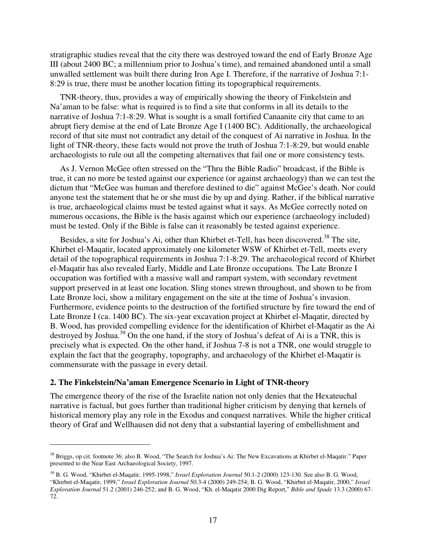stratigraphic studies reveal that the city there was destroyed toward the end of Early Bronze Age III (about 2400 BC; a millennium prior to Joshua's time), and remained abandoned until a small unwalled settlement was built there during Iron Age I. Therefore, if the narrative of Joshua 7:1- 8:29 is true, there must be another location fitting its topographical requirements.

TNR-theory, thus, provides a way of empirically showing the theory of Finkelstein and Na'aman to be false: what is required is to find a site that conforms in all its details to the narrative of Joshua 7:1-8:29. What is sought is a small fortified Canaanite city that came to an abrupt fiery demise at the end of Late Bronze Age I (1400 BC). Additionally, the archaeological record of that site must not contradict any detail of the conquest of Ai narrative in Joshua. In the light of TNR-theory, these facts would not prove the truth of Joshua 7:1-8:29, but would enable archaeologists to rule out all the competing alternatives that fail one or more consistency tests.

As J. Vernon McGee often stressed on the "Thru the Bible Radio" broadcast, if the Bible is true, it can no more be tested against our experience (or against archaeology) than we can test the dictum that "McGee was human and therefore destined to die" against McGee's death. Nor could anyone test the statement that he or she must die by up and dying. Rather, if the biblical narrative is true, archaeological claims must be tested against what it says. As McGee correctly noted on numerous occasions, the Bible is the basis against which our experience (archaeology included) must be tested. Only if the Bible is false can it reasonably be tested against experience.

Besides, a site for Joshua's Ai, other than Khirbet et-Tell, has been discovered.<sup>38</sup> The site, Khirbet el-Maqatir, located approximately one kilometer WSW of Khirbet et-Tell, meets every detail of the topographical requirements in Joshua 7:1-8:29. The archaeological record of Khirbet el-Maqatir has also revealed Early, Middle and Late Bronze occupations. The Late Bronze I occupation was fortified with a massive wall and rampart system, with secondary revetment support preserved in at least one location. Sling stones strewn throughout, and shown to be from Late Bronze loci, show a military engagement on the site at the time of Joshua's invasion. Furthermore, evidence points to the destruction of the fortified structure by fire toward the end of Late Bronze I (ca. 1400 BC). The six-year excavation project at Khirbet el-Maqatir, directed by B. Wood, has provided compelling evidence for the identification of Khirbet el-Maqatir as the Ai destroyed by Joshua.<sup>39</sup> On the one hand, if the story of Joshua's defeat of Ai is a TNR, this is precisely what is expected. On the other hand, if Joshua 7-8 is not a TNR, one would struggle to explain the fact that the geography, topography, and archaeology of the Khirbet el-Maqatir is commensurate with the passage in every detail.

#### **2. The Finkelstein/Na'aman Emergence Scenario in Light of TNR-theory**

 $\overline{a}$ 

The emergence theory of the rise of the Israelite nation not only denies that the Hexateuchal narrative is factual, but goes further than traditional higher criticism by denying that kernels of historical memory play any role in the Exodus and conquest narratives. While the higher critical theory of Graf and Wellhausen did not deny that a substantial layering of embellishment and

<sup>38</sup> Briggs, op cit. footnote 36; also B. Wood, "The Search for Joshua's Ai: The New Excavations at Khirbet el-Maqatir." Paper presented to the Near East Archaeological Society, 1997.

<sup>39</sup> B. G. Wood, "Khirbet el-Maqatir, 1995-1998," *Israel Exploration Journal* 50.1-2 (2000) 123-130. See also B. G. Wood, "Khirbet el-Maqatir, 1999," *Israel Exploration Journal* 50.3-4 (2000) 249-254; B. G. Wood, "Khirbet el-Maqatir, 2000," *Israel Exploration Journal* 51.2 (2001) 246-252; and B. G. Wood, "Kh. el-Maqatir 2000 Dig Report," *Bible and Spade* 13.3 (2000) 67- 72.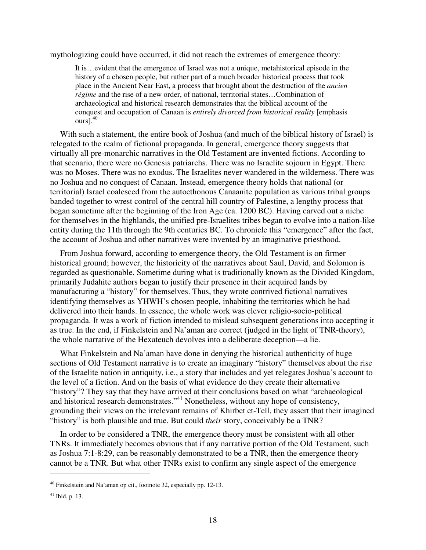mythologizing could have occurred, it did not reach the extremes of emergence theory:

It is…evident that the emergence of Israel was not a unique, metahistorical episode in the history of a chosen people, but rather part of a much broader historical process that took place in the Ancient Near East, a process that brought about the destruction of the *ancien régime* and the rise of a new order, of national, territorial states…Combination of archaeological and historical research demonstrates that the biblical account of the conquest and occupation of Canaan is *entirely divorced from historical reality* [emphasis  $ours<sup>1,40</sup>$ 

With such a statement, the entire book of Joshua (and much of the biblical history of Israel) is relegated to the realm of fictional propaganda. In general, emergence theory suggests that virtually all pre-monarchic narratives in the Old Testament are invented fictions. According to that scenario, there were no Genesis patriarchs. There was no Israelite sojourn in Egypt. There was no Moses. There was no exodus. The Israelites never wandered in the wilderness. There was no Joshua and no conquest of Canaan. Instead, emergence theory holds that national (or territorial) Israel coalesced from the autocthonous Canaanite population as various tribal groups banded together to wrest control of the central hill country of Palestine, a lengthy process that began sometime after the beginning of the Iron Age (ca. 1200 BC). Having carved out a niche for themselves in the highlands, the unified pre-Israelites tribes began to evolve into a nation-like entity during the 11th through the 9th centuries BC. To chronicle this "emergence" after the fact, the account of Joshua and other narratives were invented by an imaginative priesthood.

From Joshua forward, according to emergence theory, the Old Testament is on firmer historical ground; however, the historicity of the narratives about Saul, David, and Solomon is regarded as questionable. Sometime during what is traditionally known as the Divided Kingdom, primarily Judahite authors began to justify their presence in their acquired lands by manufacturing a "history" for themselves. Thus, they wrote contrived fictional narratives identifying themselves as YHWH's chosen people, inhabiting the territories which he had delivered into their hands. In essence, the whole work was clever religio-socio-political propaganda. It was a work of fiction intended to mislead subsequent generations into accepting it as true. In the end, if Finkelstein and Na'aman are correct (judged in the light of TNR-theory), the whole narrative of the Hexateuch devolves into a deliberate deception—a lie.

What Finkelstein and Na'aman have done in denying the historical authenticity of huge sections of Old Testament narrative is to create an imaginary "history" themselves about the rise of the Israelite nation in antiquity, i.e., a story that includes and yet relegates Joshua's account to the level of a fiction. And on the basis of what evidence do they create their alternative "history"? They say that they have arrived at their conclusions based on what "archaeological and historical research demonstrates."<sup>41</sup> Nonetheless, without any hope of consistency, grounding their views on the irrelevant remains of Khirbet et-Tell, they assert that their imagined "history" is both plausible and true. But could *their* story, conceivably be a TNR?

In order to be considered a TNR, the emergence theory must be consistent with all other TNRs. It immediately becomes obvious that if any narrative portion of the Old Testament, such as Joshua 7:1-8:29, can be reasonably demonstrated to be a TNR, then the emergence theory cannot be a TNR. But what other TNRs exist to confirm any single aspect of the emergence

<sup>40</sup> Finkelstein and Na'aman op cit., footnote 32, especially pp. 12-13.

<sup>41</sup> Ibid, p. 13.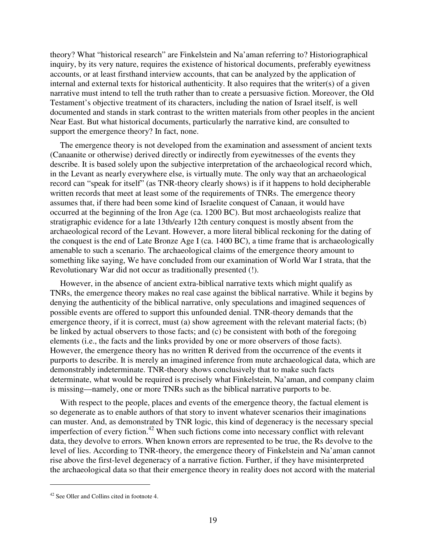theory? What "historical research" are Finkelstein and Na'aman referring to? Historiographical inquiry, by its very nature, requires the existence of historical documents, preferably eyewitness accounts, or at least firsthand interview accounts, that can be analyzed by the application of internal and external texts for historical authenticity. It also requires that the writer(s) of a given narrative must intend to tell the truth rather than to create a persuasive fiction. Moreover, the Old Testament's objective treatment of its characters, including the nation of Israel itself, is well documented and stands in stark contrast to the written materials from other peoples in the ancient Near East. But what historical documents, particularly the narrative kind, are consulted to support the emergence theory? In fact, none.

The emergence theory is not developed from the examination and assessment of ancient texts (Canaanite or otherwise) derived directly or indirectly from eyewitnesses of the events they describe. It is based solely upon the subjective interpretation of the archaeological record which, in the Levant as nearly everywhere else, is virtually mute. The only way that an archaeological record can "speak for itself" (as TNR-theory clearly shows) is if it happens to hold decipherable written records that meet at least some of the requirements of TNRs. The emergence theory assumes that, if there had been some kind of Israelite conquest of Canaan, it would have occurred at the beginning of the Iron Age (ca. 1200 BC). But most archaeologists realize that stratigraphic evidence for a late 13th/early 12th century conquest is mostly absent from the archaeological record of the Levant. However, a more literal biblical reckoning for the dating of the conquest is the end of Late Bronze Age I (ca. 1400 BC), a time frame that is archaeologically amenable to such a scenario. The archaeological claims of the emergence theory amount to something like saying, We have concluded from our examination of World War I strata, that the Revolutionary War did not occur as traditionally presented (!).

However, in the absence of ancient extra-biblical narrative texts which might qualify as TNRs, the emergence theory makes no real case against the biblical narrative. While it begins by denying the authenticity of the biblical narrative, only speculations and imagined sequences of possible events are offered to support this unfounded denial. TNR-theory demands that the emergence theory, if it is correct, must (a) show agreement with the relevant material facts; (b) be linked by actual observers to those facts; and (c) be consistent with both of the foregoing elements (i.e., the facts and the links provided by one or more observers of those facts). However, the emergence theory has no written R derived from the occurrence of the events it purports to describe. It is merely an imagined inference from mute archaeological data, which are demonstrably indeterminate. TNR-theory shows conclusively that to make such facts determinate, what would be required is precisely what Finkelstein, Na'aman, and company claim is missing—namely, one or more TNRs such as the biblical narrative purports to be.

With respect to the people, places and events of the emergence theory, the factual element is so degenerate as to enable authors of that story to invent whatever scenarios their imaginations can muster. And, as demonstrated by TNR logic, this kind of degeneracy is the necessary special imperfection of every fiction.<sup>42</sup> When such fictions come into necessary conflict with relevant data, they devolve to errors. When known errors are represented to be true, the Rs devolve to the level of lies. According to TNR-theory, the emergence theory of Finkelstein and Na'aman cannot rise above the first-level degeneracy of a narrative fiction. Further, if they have misinterpreted the archaeological data so that their emergence theory in reality does not accord with the material

<sup>42</sup> See Oller and Collins cited in footnote 4.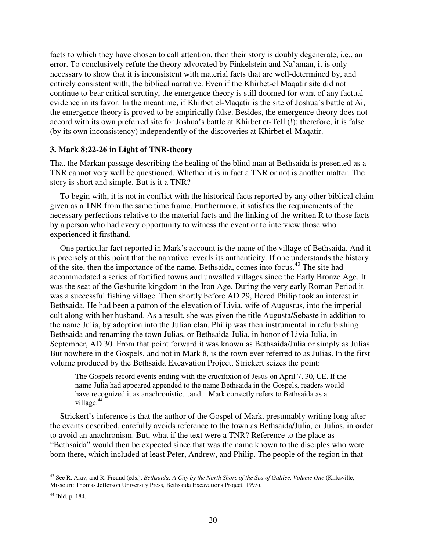facts to which they have chosen to call attention, then their story is doubly degenerate, i.e., an error. To conclusively refute the theory advocated by Finkelstein and Na'aman, it is only necessary to show that it is inconsistent with material facts that are well-determined by, and entirely consistent with, the biblical narrative. Even if the Khirbet-el Maqatir site did not continue to bear critical scrutiny, the emergence theory is still doomed for want of any factual evidence in its favor. In the meantime, if Khirbet el-Maqatir is the site of Joshua's battle at Ai, the emergence theory is proved to be empirically false. Besides, the emergence theory does not accord with its own preferred site for Joshua's battle at Khirbet et-Tell (!); therefore, it is false (by its own inconsistency) independently of the discoveries at Khirbet el-Maqatir.

#### **3. Mark 8:22-26 in Light of TNR-theory**

That the Markan passage describing the healing of the blind man at Bethsaida is presented as a TNR cannot very well be questioned. Whether it is in fact a TNR or not is another matter. The story is short and simple. But is it a TNR?

To begin with, it is not in conflict with the historical facts reported by any other biblical claim given as a TNR from the same time frame. Furthermore, it satisfies the requirements of the necessary perfections relative to the material facts and the linking of the written R to those facts by a person who had every opportunity to witness the event or to interview those who experienced it firsthand.

One particular fact reported in Mark's account is the name of the village of Bethsaida. And it is precisely at this point that the narrative reveals its authenticity. If one understands the history of the site, then the importance of the name, Bethsaida, comes into focus.<sup>43</sup> The site had accommodated a series of fortified towns and unwalled villages since the Early Bronze Age. It was the seat of the Geshurite kingdom in the Iron Age. During the very early Roman Period it was a successful fishing village. Then shortly before AD 29, Herod Philip took an interest in Bethsaida. He had been a patron of the elevation of Livia, wife of Augustus, into the imperial cult along with her husband. As a result, she was given the title Augusta/Sebaste in addition to the name Julia, by adoption into the Julian clan. Philip was then instrumental in refurbishing Bethsaida and renaming the town Julias, or Bethsaida-Julia, in honor of Livia Julia, in September, AD 30. From that point forward it was known as Bethsaida/Julia or simply as Julias. But nowhere in the Gospels, and not in Mark 8, is the town ever referred to as Julias. In the first volume produced by the Bethsaida Excavation Project, Strickert seizes the point:

The Gospels record events ending with the crucifixion of Jesus on April 7, 30, CE. If the name Julia had appeared appended to the name Bethsaida in the Gospels, readers would have recognized it as anachronistic...and...Mark correctly refers to Bethsaida as a village.<sup>44</sup>

Strickert's inference is that the author of the Gospel of Mark, presumably writing long after the events described, carefully avoids reference to the town as Bethsaida/Julia, or Julias, in order to avoid an anachronism. But, what if the text were a TNR? Reference to the place as "Bethsaida" would then be expected since that was the name known to the disciples who were born there, which included at least Peter, Andrew, and Philip. The people of the region in that

<sup>43</sup> See R. Arav, and R. Freund (eds.), *Bethsaida: A City by the North Shore of the Sea of Galilee, Volume One* (Kirksville, Missouri: Thomas Jefferson University Press, Bethsaida Excavations Project, 1995).

<sup>44</sup> Ibid, p. 184.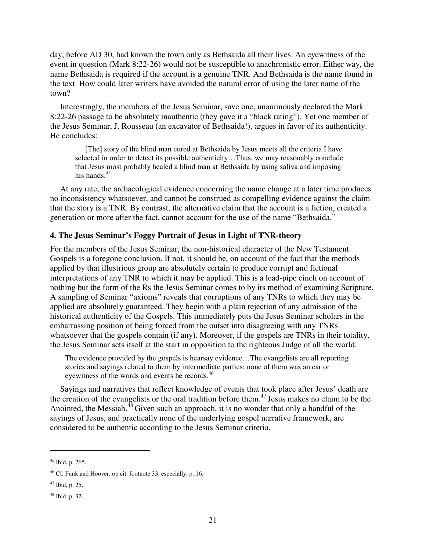day, before AD 30, had known the town only as Bethsaida all their lives. An eyewitness of the event in question (Mark 8:22-26) would not be susceptible to anachronistic error. Either way, the name Bethsaida is required if the account is a genuine TNR. And Bethsaida is the name found in the text. How could later writers have avoided the natural error of using the later name of the town?

Interestingly, the members of the Jesus Seminar, save one, unanimously declared the Mark 8:22-26 passage to be absolutely inauthentic (they gave it a "black rating"). Yet one member of the Jesus Seminar, J. Rousseau (an excavator of Bethsaida!), argues in favor of its authenticity. He concludes:

[The] story of the blind man cured at Bethsaida by Jesus meets all the criteria I have selected in order to detect its possible authenticity…Thus, we may reasonably conclude that Jesus most probably healed a blind man at Bethsaida by using saliva and imposing his hands $45$ 

At any rate, the archaeological evidence concerning the name change at a later time produces no inconsistency whatsoever, and cannot be construed as compelling evidence against the claim that the story is a TNR. By contrast, the alternative claim that the account is a fiction, created a generation or more after the fact, cannot account for the use of the name "Bethsaida."

#### **4. The Jesus Seminar's Foggy Portrait of Jesus in Light of TNR-theory**

For the members of the Jesus Seminar, the non-historical character of the New Testament Gospels is a foregone conclusion. If not, it should be, on account of the fact that the methods applied by that illustrious group are absolutely certain to produce corrupt and fictional interpretations of any TNR to which it may be applied. This is a lead-pipe cinch on account of nothing but the form of the Rs the Jesus Seminar comes to by its method of examining Scripture. A sampling of Seminar "axioms" reveals that corruptions of any TNRs to which they may be applied are absolutely guaranteed. They begin with a plain rejection of any admission of the historical authenticity of the Gospels. This immediately puts the Jesus Seminar scholars in the embarrassing position of being forced from the outset into disagreeing with any TNRs whatsoever that the gospels contain (if any). Moreover, if the gospels are TNRs in their totality, the Jesus Seminar sets itself at the start in opposition to the righteous Judge of all the world:

The evidence provided by the gospels is hearsay evidence…The evangelists are all reporting stories and sayings related to them by intermediate parties; none of them was an ear or eyewitness of the words and events he records.<sup>46</sup>

Sayings and narratives that reflect knowledge of events that took place after Jesus' death are the creation of the evangelists or the oral tradition before them.<sup>47</sup> Jesus makes no claim to be the Anointed, the Messiah.<sup>48</sup> Given such an approach, it is no wonder that only a handful of the sayings of Jesus, and practically none of the underlying gospel narrative framework, are considered to be authentic according to the Jesus Seminar criteria.

<sup>45</sup> Ibid, p. 265.

<sup>46</sup> Cf. Funk and Hoover, op cit. footnote 33, especially, p. 16.

 $47$  Ibid, p. 25.

<sup>48</sup> Ibid, p. 32.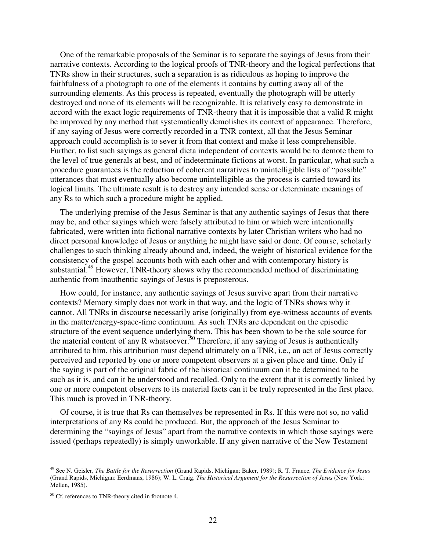One of the remarkable proposals of the Seminar is to separate the sayings of Jesus from their narrative contexts. According to the logical proofs of TNR-theory and the logical perfections that TNRs show in their structures, such a separation is as ridiculous as hoping to improve the faithfulness of a photograph to one of the elements it contains by cutting away all of the surrounding elements. As this process is repeated, eventually the photograph will be utterly destroyed and none of its elements will be recognizable. It is relatively easy to demonstrate in accord with the exact logic requirements of TNR-theory that it is impossible that a valid R might be improved by any method that systematically demolishes its context of appearance. Therefore, if any saying of Jesus were correctly recorded in a TNR context, all that the Jesus Seminar approach could accomplish is to sever it from that context and make it less comprehensible. Further, to list such sayings as general dicta independent of contexts would be to demote them to the level of true generals at best, and of indeterminate fictions at worst. In particular, what such a procedure guarantees is the reduction of coherent narratives to unintelligible lists of "possible" utterances that must eventually also become unintelligible as the process is carried toward its logical limits. The ultimate result is to destroy any intended sense or determinate meanings of any Rs to which such a procedure might be applied.

The underlying premise of the Jesus Seminar is that any authentic sayings of Jesus that there may be, and other sayings which were falsely attributed to him or which were intentionally fabricated, were written into fictional narrative contexts by later Christian writers who had no direct personal knowledge of Jesus or anything he might have said or done. Of course, scholarly challenges to such thinking already abound and, indeed, the weight of historical evidence for the consistency of the gospel accounts both with each other and with contemporary history is substantial.<sup>49</sup> However, TNR-theory shows why the recommended method of discriminating authentic from inauthentic sayings of Jesus is preposterous.

How could, for instance, any authentic sayings of Jesus survive apart from their narrative contexts? Memory simply does not work in that way, and the logic of TNRs shows why it cannot. All TNRs in discourse necessarily arise (originally) from eye-witness accounts of events in the matter/energy-space-time continuum. As such TNRs are dependent on the episodic structure of the event sequence underlying them. This has been shown to be the sole source for the material content of any R whatsoever.<sup>50</sup> Therefore, if any saying of Jesus is authentically attributed to him, this attribution must depend ultimately on a TNR, i.e., an act of Jesus correctly perceived and reported by one or more competent observers at a given place and time. Only if the saying is part of the original fabric of the historical continuum can it be determined to be such as it is, and can it be understood and recalled. Only to the extent that it is correctly linked by one or more competent observers to its material facts can it be truly represented in the first place. This much is proved in TNR-theory.

Of course, it is true that Rs can themselves be represented in Rs. If this were not so, no valid interpretations of any Rs could be produced. But, the approach of the Jesus Seminar to determining the "sayings of Jesus" apart from the narrative contexts in which those sayings were issued (perhaps repeatedly) is simply unworkable. If any given narrative of the New Testament

<sup>49</sup> See N. Geisler, *The Battle for the Resurrection* (Grand Rapids, Michigan: Baker, 1989); R. T. France, *The Evidence for Jesus* (Grand Rapids, Michigan: Eerdmans, 1986); W. L. Craig, *The Historical Argument for the Resurrection of Jesus* (New York: Mellen, 1985).

<sup>50</sup> Cf. references to TNR-theory cited in footnote 4.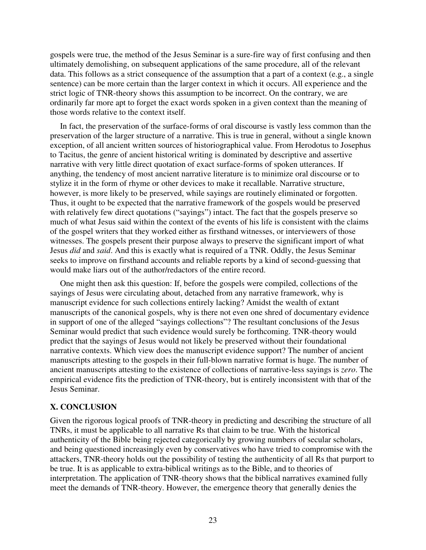gospels were true, the method of the Jesus Seminar is a sure-fire way of first confusing and then ultimately demolishing, on subsequent applications of the same procedure, all of the relevant data. This follows as a strict consequence of the assumption that a part of a context (e.g., a single sentence) can be more certain than the larger context in which it occurs. All experience and the strict logic of TNR-theory shows this assumption to be incorrect. On the contrary, we are ordinarily far more apt to forget the exact words spoken in a given context than the meaning of those words relative to the context itself.

In fact, the preservation of the surface-forms of oral discourse is vastly less common than the preservation of the larger structure of a narrative. This is true in general, without a single known exception, of all ancient written sources of historiographical value. From Herodotus to Josephus to Tacitus, the genre of ancient historical writing is dominated by descriptive and assertive narrative with very little direct quotation of exact surface-forms of spoken utterances. If anything, the tendency of most ancient narrative literature is to minimize oral discourse or to stylize it in the form of rhyme or other devices to make it recallable. Narrative structure, however, is more likely to be preserved, while sayings are routinely eliminated or forgotten. Thus, it ought to be expected that the narrative framework of the gospels would be preserved with relatively few direct quotations ("sayings") intact. The fact that the gospels preserve so much of what Jesus said within the context of the events of his life is consistent with the claims of the gospel writers that they worked either as firsthand witnesses, or interviewers of those witnesses. The gospels present their purpose always to preserve the significant import of what Jesus *did* and *said*. And this is exactly what is required of a TNR. Oddly, the Jesus Seminar seeks to improve on firsthand accounts and reliable reports by a kind of second-guessing that would make liars out of the author/redactors of the entire record.

One might then ask this question: If, before the gospels were compiled, collections of the sayings of Jesus were circulating about, detached from any narrative framework, why is manuscript evidence for such collections entirely lacking? Amidst the wealth of extant manuscripts of the canonical gospels, why is there not even one shred of documentary evidence in support of one of the alleged "sayings collections"? The resultant conclusions of the Jesus Seminar would predict that such evidence would surely be forthcoming. TNR-theory would predict that the sayings of Jesus would not likely be preserved without their foundational narrative contexts. Which view does the manuscript evidence support? The number of ancient manuscripts attesting to the gospels in their full-blown narrative format is huge. The number of ancient manuscripts attesting to the existence of collections of narrative-less sayings is *zero*. The empirical evidence fits the prediction of TNR-theory, but is entirely inconsistent with that of the Jesus Seminar.

#### **X. CONCLUSION**

Given the rigorous logical proofs of TNR-theory in predicting and describing the structure of all TNRs, it must be applicable to all narrative Rs that claim to be true. With the historical authenticity of the Bible being rejected categorically by growing numbers of secular scholars, and being questioned increasingly even by conservatives who have tried to compromise with the attackers, TNR-theory holds out the possibility of testing the authenticity of all Rs that purport to be true. It is as applicable to extra-biblical writings as to the Bible, and to theories of interpretation. The application of TNR-theory shows that the biblical narratives examined fully meet the demands of TNR-theory. However, the emergence theory that generally denies the